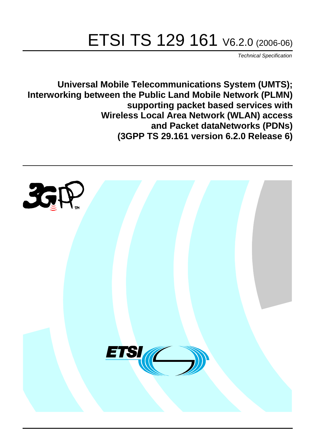# ETSI TS 129 161 V6.2.0 (2006-06)

Technical Specification

**Universal Mobile Telecommunications System (UMTS); Interworking between the Public Land Mobile Network (PLMN) supporting packet based services with Wireless Local Area Network (WLAN) access and Packet dataNetworks (PDNs) (3GPP TS 29.161 version 6.2.0 Release 6)**

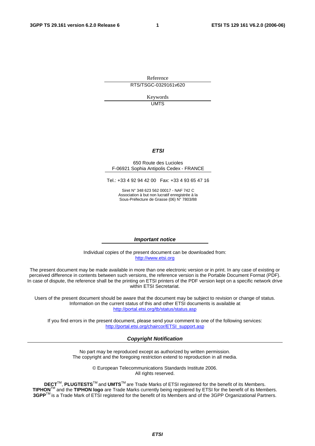Reference RTS/TSGC-0329161v620

> Keywords UMTS

#### **ETSI**

#### 650 Route des Lucioles F-06921 Sophia Antipolis Cedex - FRANCE

Tel.: +33 4 92 94 42 00 Fax: +33 4 93 65 47 16

Siret N° 348 623 562 00017 - NAF 742 C Association à but non lucratif enregistrée à la Sous-Préfecture de Grasse (06) N° 7803/88

#### **Important notice**

Individual copies of the present document can be downloaded from: [http://www.etsi.org](http://www.etsi.org/)

The present document may be made available in more than one electronic version or in print. In any case of existing or perceived difference in contents between such versions, the reference version is the Portable Document Format (PDF). In case of dispute, the reference shall be the printing on ETSI printers of the PDF version kept on a specific network drive within ETSI Secretariat.

Users of the present document should be aware that the document may be subject to revision or change of status. Information on the current status of this and other ETSI documents is available at <http://portal.etsi.org/tb/status/status.asp>

If you find errors in the present document, please send your comment to one of the following services: [http://portal.etsi.org/chaircor/ETSI\\_support.asp](http://portal.etsi.org/chaircor/ETSI_support.asp)

#### **Copyright Notification**

No part may be reproduced except as authorized by written permission. The copyright and the foregoing restriction extend to reproduction in all media.

> © European Telecommunications Standards Institute 2006. All rights reserved.

**DECT**TM, **PLUGTESTS**TM and **UMTS**TM are Trade Marks of ETSI registered for the benefit of its Members. **TIPHON**TM and the **TIPHON logo** are Trade Marks currently being registered by ETSI for the benefit of its Members. **3GPP**TM is a Trade Mark of ETSI registered for the benefit of its Members and of the 3GPP Organizational Partners.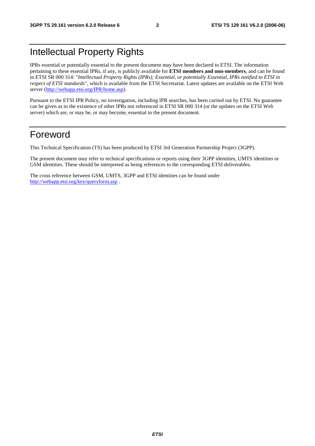### Intellectual Property Rights

IPRs essential or potentially essential to the present document may have been declared to ETSI. The information pertaining to these essential IPRs, if any, is publicly available for **ETSI members and non-members**, and can be found in ETSI SR 000 314: *"Intellectual Property Rights (IPRs); Essential, or potentially Essential, IPRs notified to ETSI in respect of ETSI standards"*, which is available from the ETSI Secretariat. Latest updates are available on the ETSI Web server ([http://webapp.etsi.org/IPR/home.asp\)](http://webapp.etsi.org/IPR/home.asp).

Pursuant to the ETSI IPR Policy, no investigation, including IPR searches, has been carried out by ETSI. No guarantee can be given as to the existence of other IPRs not referenced in ETSI SR 000 314 (or the updates on the ETSI Web server) which are, or may be, or may become, essential to the present document.

### Foreword

This Technical Specification (TS) has been produced by ETSI 3rd Generation Partnership Project (3GPP).

The present document may refer to technical specifications or reports using their 3GPP identities, UMTS identities or GSM identities. These should be interpreted as being references to the corresponding ETSI deliverables.

The cross reference between GSM, UMTS, 3GPP and ETSI identities can be found under <http://webapp.etsi.org/key/queryform.asp>.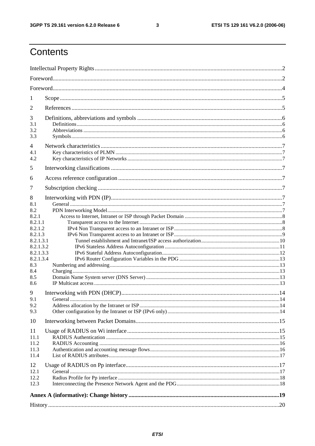#### $\mathbf{3}$

### Contents

| 1                      |  |  |  |  |  |
|------------------------|--|--|--|--|--|
| 2                      |  |  |  |  |  |
|                        |  |  |  |  |  |
| 3<br>3.1               |  |  |  |  |  |
| 3.2                    |  |  |  |  |  |
| 3.3                    |  |  |  |  |  |
| 4                      |  |  |  |  |  |
| 4.1                    |  |  |  |  |  |
| 4.2                    |  |  |  |  |  |
| 5                      |  |  |  |  |  |
| 6                      |  |  |  |  |  |
| 7                      |  |  |  |  |  |
| 8                      |  |  |  |  |  |
| 8.1                    |  |  |  |  |  |
| 8.2                    |  |  |  |  |  |
| 8.2.1                  |  |  |  |  |  |
| 8.2.1.1                |  |  |  |  |  |
| 8.2.1.2                |  |  |  |  |  |
| 8.2.1.3                |  |  |  |  |  |
| 8.2.1.3.1<br>8.2.1.3.2 |  |  |  |  |  |
| 8.2.1.3.3              |  |  |  |  |  |
| 8.2.1.3.4              |  |  |  |  |  |
| 8.3                    |  |  |  |  |  |
| 8.4                    |  |  |  |  |  |
| 8.5                    |  |  |  |  |  |
| 8.6                    |  |  |  |  |  |
| 9                      |  |  |  |  |  |
| 9.1                    |  |  |  |  |  |
| 9.2                    |  |  |  |  |  |
| 9.3                    |  |  |  |  |  |
| 10                     |  |  |  |  |  |
| 11                     |  |  |  |  |  |
| 11.1                   |  |  |  |  |  |
| 11.2                   |  |  |  |  |  |
| 11.3<br>11.4           |  |  |  |  |  |
|                        |  |  |  |  |  |
| 12                     |  |  |  |  |  |
| 12.1<br>12.2           |  |  |  |  |  |
| 12.3                   |  |  |  |  |  |
|                        |  |  |  |  |  |
|                        |  |  |  |  |  |
|                        |  |  |  |  |  |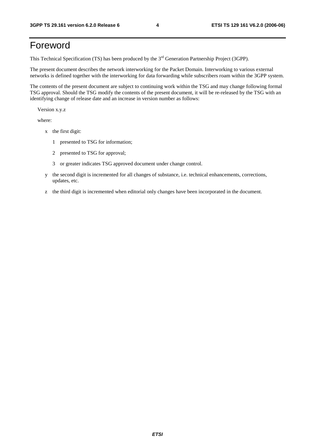### Foreword

This Technical Specification (TS) has been produced by the 3<sup>rd</sup> Generation Partnership Project (3GPP).

The present document describes the network interworking for the Packet Domain. Interworking to various external networks is defined together with the interworking for data forwarding while subscribers roam within the 3GPP system.

The contents of the present document are subject to continuing work within the TSG and may change following formal TSG approval. Should the TSG modify the contents of the present document, it will be re-released by the TSG with an identifying change of release date and an increase in version number as follows:

Version x.y.z

where:

- x the first digit:
	- 1 presented to TSG for information;
	- 2 presented to TSG for approval;
	- 3 or greater indicates TSG approved document under change control.
- y the second digit is incremented for all changes of substance, i.e. technical enhancements, corrections, updates, etc.
- z the third digit is incremented when editorial only changes have been incorporated in the document.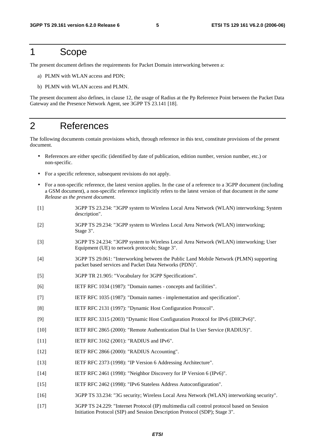### 1 Scope

The present document defines the requirements for Packet Domain interworking between a:

- a) PLMN with WLAN access and PDN;
- b) PLMN with WLAN access and PLMN.

The present document also defines, in clause 12, the usage of Radius at the Pp Reference Point between the Packet Data Gateway and the Presence Network Agent, see 3GPP TS 23.141 [18].

### 2 References

The following documents contain provisions which, through reference in this text, constitute provisions of the present document.

- References are either specific (identified by date of publication, edition number, version number, etc.) or non-specific.
- For a specific reference, subsequent revisions do not apply.
- For a non-specific reference, the latest version applies. In the case of a reference to a 3GPP document (including a GSM document), a non-specific reference implicitly refers to the latest version of that document *in the same Release as the present document*.
- [1] 3GPP TS 23.234: "3GPP system to Wireless Local Area Network (WLAN) interworking; System description".
- [2] 3GPP TS 29.234: "3GPP system to Wireless Local Area Network (WLAN) interworking; Stage 3".
- [3] 3GPP TS 24.234: "3GPP system to Wireless Local Area Network (WLAN) interworking; User Equipment (UE) to network protocols; Stage 3".
- [4] 3GPP TS 29.061: "Interworking between the Public Land Mobile Network (PLMN) supporting packet based services and Packet Data Networks (PDN)".
- [5] 3GPP TR 21.905: "Vocabulary for 3GPP Specifications".
- [6] IETF RFC 1034 (1987): "Domain names concepts and facilities".
- [7] IETF RFC 1035 (1987): "Domain names implementation and specification".
- [8] IETF RFC 2131 (1997): "Dynamic Host Configuration Protocol".
- [9] IETF RFC 3315 (2003) "Dynamic Host Configuration Protocol for IPv6 (DHCPv6)".
- [10] IETF RFC 2865 (2000): "Remote Authentication Dial In User Service (RADIUS)".
- [11] **IETF RFC 3162 (2001): "RADIUS and IPv6".**
- [12] **IETF RFC 2866 (2000): "RADIUS Accounting".**
- [13] IETF RFC 2373 (1998): "IP Version 6 Addressing Architecture".
- [14] IETF RFC 2461 (1998): "Neighbor Discovery for IP Version 6 (IPv6)".
- [15] IETF RFC 2462 (1998): "IPv6 Stateless Address Autoconfiguration".
- [16] 3GPP TS 33.234: "3G security; Wireless Local Area Network (WLAN) interworking security".
- [17] 3GPP TS 24.229: "Internet Protocol (IP) multimedia call control protocol based on Session Initiation Protocol (SIP) and Session Description Protocol (SDP); Stage 3".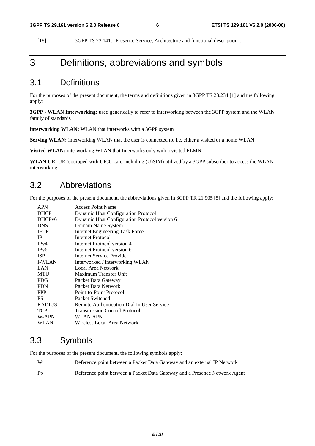[18] 3GPP TS 23.141: "Presence Service; Architecture and functional description".

### 3 Definitions, abbreviations and symbols

### 3.1 Definitions

For the purposes of the present document, the terms and definitions given in 3GPP TS 23.234 [1] and the following apply:

**3GPP - WLAN Interworking:** used generically to refer to interworking between the 3GPP system and the WLAN family of standards

**interworking WLAN:** WLAN that interworks with a 3GPP system

Serving WLAN: interworking WLAN that the user is connected to, i.e. either a visited or a home WLAN

**Visited WLAN:** interworking WLAN that Interworks only with a visited PLMN

**WLAN UE:** UE (equipped with UICC card including (U)SIM) utilized by a 3GPP subscriber to access the WLAN interworking

### 3.2 Abbreviations

For the purposes of the present document, the abbreviations given in 3GPP TR 21.905 [5] and the following apply:

| <b>APN</b>         | <b>Access Point Name</b>                      |
|--------------------|-----------------------------------------------|
| <b>DHCP</b>        | <b>Dynamic Host Configuration Protocol</b>    |
| DHCP <sub>v6</sub> | Dynamic Host Configuration Protocol version 6 |
| <b>DNS</b>         | Domain Name System                            |
| <b>IETF</b>        | <b>Internet Engineering Task Force</b>        |
| <b>IP</b>          | Internet Protocol                             |
| IPv4               | Internet Protocol version 4                   |
| IP <sub>v</sub> 6  | Internet Protocol version 6                   |
| <b>ISP</b>         | Internet Service Provider                     |
| <b>I-WLAN</b>      | Interworked / interworking WLAN               |
| LAN                | Local Area Network                            |
| <b>MTU</b>         | Maximum Transfer Unit                         |
| <b>PDG</b>         | Packet Data Gateway                           |
| <b>PDN</b>         | Packet Data Network                           |
| <b>PPP</b>         | Point-to-Point Protocol                       |
| <b>PS</b>          | Packet Switched                               |
| <b>RADIUS</b>      | Remote Authentication Dial In User Service    |
| <b>TCP</b>         | <b>Transmission Control Protocol</b>          |
| W-APN              | WLAN APN                                      |
| WLAN               | Wireless Local Area Network                   |
|                    |                                               |

### 3.3 Symbols

For the purposes of the present document, the following symbols apply:

| - Wi           | Reference point between a Packet Data Gateway and an external IP Network   |
|----------------|----------------------------------------------------------------------------|
| P <sub>D</sub> | Reference point between a Packet Data Gateway and a Presence Network Agent |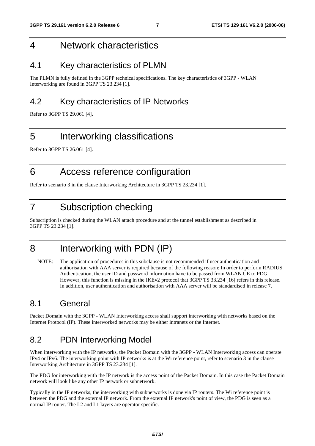### 4 Network characteristics

### 4.1 Key characteristics of PLMN

The PLMN is fully defined in the 3GPP technical specifications. The key characteristics of 3GPP - WLAN Interworking are found in 3GPP TS 23.234 [1].

### 4.2 Key characteristics of IP Networks

Refer to 3GPP TS 29.061 [4].

### 5 Interworking classifications

Refer to 3GPP TS 26.061 [4].

### 6 Access reference configuration

Refer to scenario 3 in the clause Interworking Architecture in 3GPP TS 23.234 [1].

### 7 Subscription checking

Subscription is checked during the WLAN attach procedure and at the tunnel establishment as described in 3GPP TS 23.234 [1].

### 8 Interworking with PDN (IP)

NOTE: The application of procedures in this subclause is not recommended if user authentication and authorisation with AAA server is required because of the following reason: In order to perform RADIUS Authentication, the user ID and password information have to be passed from WLAN UE to PDG. However, this function is missing in the IKEv2 protocol that 3GPP TS 33.234 [16] refers in this release. In addition, user authentication and authorisation with AAA server will be standardised in release 7.

### 8.1 General

Packet Domain with the 3GPP - WLAN Interworking access shall support interworking with networks based on the Internet Protocol (IP). These interworked networks may be either intranets or the Internet.

### 8.2 PDN Interworking Model

When interworking with the IP networks, the Packet Domain with the 3GPP - WLAN Interworking access can operate IPv4 or IPv6. The interworking point with IP networks is at the Wi reference point, refer to scenario 3 in the clause Interworking Architecture in 3GPP TS 23.234 [1].

The PDG for interworking with the IP network is the access point of the Packet Domain. In this case the Packet Domain network will look like any other IP network or subnetwork.

Typically in the IP networks, the interworking with subnetworks is done via IP routers. The Wi reference point is between the PDG and the external IP network. From the external IP network's point of view, the PDG is seen as a normal IP router. The L2 and L1 layers are operator specific.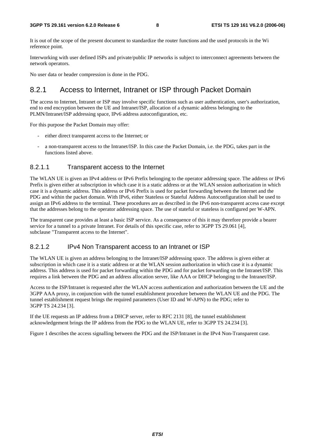It is out of the scope of the present document to standardize the router functions and the used protocols in the Wi reference point.

Interworking with user defined ISPs and private/public IP networks is subject to interconnect agreements between the network operators.

No user data or header compression is done in the PDG.

#### 8.2.1 Access to Internet, Intranet or ISP through Packet Domain

The access to Internet, Intranet or ISP may involve specific functions such as user authentication, user's authorization, end to end encryption between the UE and Intranet/ISP, allocation of a dynamic address belonging to the PLMN/Intranet/ISP addressing space, IPv6 address autoconfiguration, etc.

For this purpose the Packet Domain may offer:

- either direct transparent access to the Internet; or
- a non-transparent access to the Intranet/ISP. In this case the Packet Domain, i.e. the PDG, takes part in the functions listed above.

#### 8.2.1.1 Transparent access to the Internet

The WLAN UE is given an IPv4 address or IPv6 Prefix belonging to the operator addressing space. The address or IPv6 Prefix is given either at subscription in which case it is a static address or at the WLAN session authorization in which case it is a dynamic address. This address or IPv6 Prefix is used for packet forwarding between the Internet and the PDG and within the packet domain. With IPv6, either Stateless or Stateful Address Autoconfiguration shall be used to assign an IPv6 address to the terminal. These procedures are as described in the IPv6 non-transparent access case except that the addresses belong to the operator addressing space. The use of stateful or stateless is configured per W-APN.

The transparent case provides at least a basic ISP service. As a consequence of this it may therefore provide a bearer service for a tunnel to a private Intranet. For details of this specific case, refer to 3GPP TS 29.061 [4], subclause "Transparent access to the Internet".

#### 8.2.1.2 IPv4 Non Transparent access to an Intranet or ISP

The WLAN UE is given an address belonging to the Intranet/ISP addressing space. The address is given either at subscription in which case it is a static address or at the WLAN session authorization in which case it is a dynamic address. This address is used for packet forwarding within the PDG and for packet forwarding on the Intranet/ISP. This requires a link between the PDG and an address allocation server, like AAA or DHCP belonging to the Intranet/ISP.

Access to the ISP/Intranet is requested after the WLAN access authentication and authorization between the UE and the 3GPP AAA proxy, in conjunction with the tunnel establishment procedure between the WLAN UE and the PDG. The tunnel establishment request brings the required parameters (User ID and W-APN) to the PDG; refer to 3GPP TS 24.234 [3].

If the UE requests an IP address from a DHCP server, refer to RFC 2131 [8], the tunnel establishment acknowledgement brings the IP address from the PDG to the WLAN UE, refer to 3GPP TS 24.234 [3].

Figure 1 describes the access signalling between the PDG and the ISP/Intranet in the IPv4 Non-Transparent case.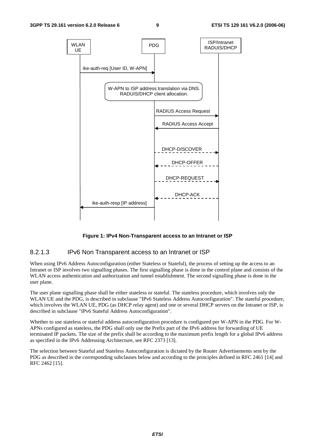

**Figure 1: IPv4 Non-Transparent access to an Intranet or ISP** 

#### 8.2.1.3 IPv6 Non Transparent access to an Intranet or ISP

When using IPv6 Address Autoconfiguration (either Stateless or Stateful), the process of setting up the access to an Intranet or ISP involves two signalling phases. The first signalling phase is done in the control plane and consists of the WLAN access authentication and authorization and tunnel establishment. The second signalling phase is done in the user plane.

The user plane signalling phase shall be either stateless or stateful. The stateless procedure, which involves only the WLAN UE and the PDG, is described in subclause "IPv6 Stateless Address Autoconfiguration". The stateful procedure, which involves the WLAN UE, PDG (as DHCP relay agent) and one or several DHCP servers on the Intranet or ISP, is described in subclause "IPv6 Stateful Address Autoconfiguration".

Whether to use stateless or stateful address autoconfiguration procedure is configured per W-APN in the PDG. For W-APNs configured as stateless, the PDG shall only use the Prefix part of the IPv6 address for forwarding of UE terminated IP packets. The size of the prefix shall be according to the maximum prefix length for a global IPv6 address as specified in the IPv6 Addressing Architecture, see RFC 2373 [13].

The selection between Stateful and Stateless Autoconfiguration is dictated by the Router Advertisements sent by the PDG as described in the corresponding subclauses below and according to the principles defined in RFC 2461 [14] and RFC 2462 [15].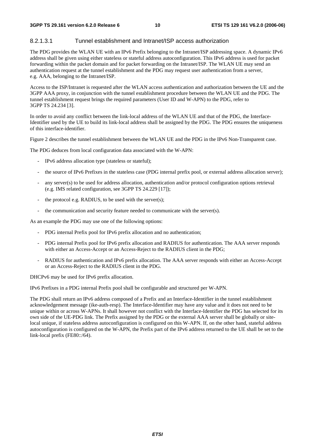#### 8.2.1.3.1 Tunnel establishment and Intranet/ISP access authorization

The PDG provides the WLAN UE with an IPv6 Prefix belonging to the Intranet/ISP addressing space. A dynamic IPv6 address shall be given using either stateless or stateful address autoconfiguration. This IPv6 address is used for packet forwarding within the packet domain and for packet forwarding on the Intranet/ISP. The WLAN UE may send an authentication request at the tunnel establishment and the PDG may request user authentication from a server, e.g. AAA, belonging to the Intranet/ISP.

Access to the ISP/Intranet is requested after the WLAN access authentication and authorization between the UE and the 3GPP AAA proxy, in conjunction with the tunnel establishment procedure between the WLAN UE and the PDG. The tunnel establishment request brings the required parameters (User ID and W-APN) to the PDG, refer to 3GPP TS 24.234 [3].

In order to avoid any conflict between the link-local address of the WLAN UE and that of the PDG, the Interface-Identifier used by the UE to build its link-local address shall be assigned by the PDG. The PDG ensures the uniqueness of this interface-identifier.

Figure 2 describes the tunnel establishment between the WLAN UE and the PDG in the IPv6 Non-Transparent case.

The PDG deduces from local configuration data associated with the W-APN:

- IPv6 address allocation type (stateless or stateful);
- the source of IPv6 Prefixes in the stateless case (PDG internal prefix pool, or external address allocation server);
- any server(s) to be used for address allocation, authentication and/or protocol configuration options retrieval (e.g. IMS related configuration, see 3GPP TS 24.229 [17]);
- the protocol e.g. RADIUS, to be used with the server(s);
- the communication and security feature needed to communicate with the server(s).

As an example the PDG may use one of the following options:

- PDG internal Prefix pool for IPv6 prefix allocation and no authentication;
- PDG internal Prefix pool for IPv6 prefix allocation and RADIUS for authentication. The AAA server responds with either an Access-Accept or an Access-Reject to the RADIUS client in the PDG;
- RADIUS for authentication and IPv6 prefix allocation. The AAA server responds with either an Access-Accept or an Access-Reject to the RADIUS client in the PDG.

DHCPv6 may be used for IPv6 prefix allocation.

IPv6 Prefixes in a PDG internal Prefix pool shall be configurable and structured per W-APN.

The PDG shall return an IPv6 address composed of a Prefix and an Interface-Identifier in the tunnel establishment acknowledgement message (ike-auth-resp). The Interface-Identifier may have any value and it does not need to be unique within or across W-APNs. It shall however not conflict with the Interface-Identifier the PDG has selected for its own side of the UE-PDG link. The Prefix assigned by the PDG or the external AAA server shall be globally or sitelocal unique, if stateless address autoconfiguration is configured on this W-APN. If, on the other hand, stateful address autoconfiguration is configured on the W-APN, the Prefix part of the IPv6 address returned to the UE shall be set to the link-local prefix (FE80::/64).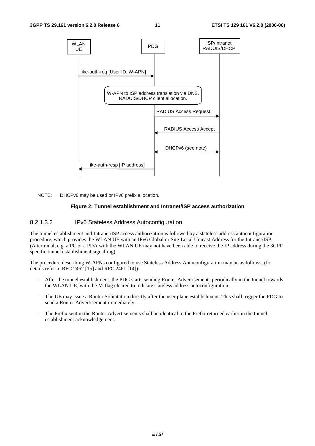

NOTE: DHCPv6 may be used or IPv6 prefix allocation.

#### **Figure 2: Tunnel establishment and Intranet/ISP access authorization**

#### 8.2.1.3.2 IPv6 Stateless Address Autoconfiguration

The tunnel establishment and Intranet/ISP access authorization is followed by a stateless address autoconfiguration procedure, which provides the WLAN UE with an IPv6 Global or Site-Local Unicast Address for the Intranet/ISP. (A terminal, e.g. a PC or a PDA with the WLAN UE may not have been able to receive the IP address during the 3GPP specific tunnel establishment signalling).

The procedure describing W-APNs configured to use Stateless Address Autoconfiguration may be as follows, (for details refer to RFC 2462 [15] and RFC 2461 [14]):

- After the tunnel establishment, the PDG starts sending Router Advertisements periodically in the tunnel towards the WLAN UE, with the M-flag cleared to indicate stateless address autoconfiguration.
- The UE may issue a Router Solicitation directly after the user plane establishment. This shall trigger the PDG to send a Router Advertisement immediately.
- The Prefix sent in the Router Advertisements shall be identical to the Prefix returned earlier in the tunnel establishment acknowledgement.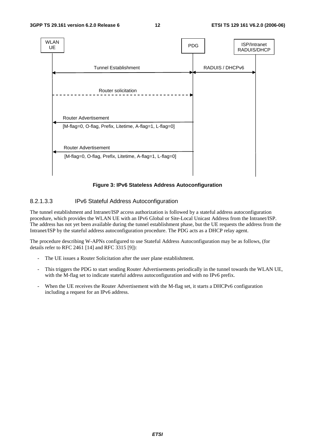

**Figure 3: IPv6 Stateless Address Autoconfiguration** 

#### 8.2.1.3.3 IPv6 Stateful Address Autoconfiguration

The tunnel establishment and Intranet/ISP access authorization is followed by a stateful address autoconfiguration procedure, which provides the WLAN UE with an IPv6 Global or Site-Local Unicast Address from the Intranet/ISP. The address has not yet been available during the tunnel establishment phase, but the UE requests the address from the Intranet/ISP by the stateful address autoconfiguration procedure. The PDG acts as a DHCP relay agent.

The procedure describing W-APNs configured to use Stateful Address Autoconfiguration may be as follows, (for details refer to RFC 2461 [14] and RFC 3315 [9]):

- The UE issues a Router Solicitation after the user plane establishment.
- This triggers the PDG to start sending Router Advertisements periodically in the tunnel towards the WLAN UE, with the M-flag set to indicate stateful address autoconfiguration and with no IPv6 prefix.
- When the UE receives the Router Advertisement with the M-flag set, it starts a DHCPv6 configuration including a request for an IPv6 address.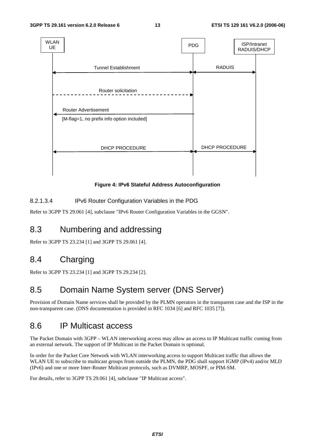

**Figure 4: IPv6 Stateful Address Autoconfiguration** 

#### 8.2.1.3.4 IPv6 Router Configuration Variables in the PDG

Refer to 3GPP TS 29.061 [4], subclause "IPv6 Router Configuration Variables in the GGSN".

### 8.3 Numbering and addressing

Refer to 3GPP TS 23.234 [1] and 3GPP TS 29.061 [4].

### 8.4 Charging

Refer to 3GPP TS 23.234 [1] and 3GPP TS 29.234 [2].

### 8.5 Domain Name System server (DNS Server)

Provision of Domain Name services shall be provided by the PLMN operators in the transparent case and the ISP in the non-transparent case. (DNS documentation is provided in RFC 1034 [6] and RFC 1035 [7]).

### 8.6 IP Multicast access

The Packet Domain with 3GPP – WLAN interworking access may allow an access to IP Multicast traffic coming from an external network. The support of IP Multicast in the Packet Domain is optional.

In order for the Packet Core Network with WLAN interworking access to support Multicast traffic that allows the WLAN UE to subscribe to multicast groups from outside the PLMN, the PDG shall support IGMP (IPv4) and/or MLD (IPv6) and one or more Inter-Router Multicast protocols, such as DVMRP, MOSPF, or PIM-SM.

For details, refer to 3GPP TS 29.061 [4], subclause "IP Multicast access".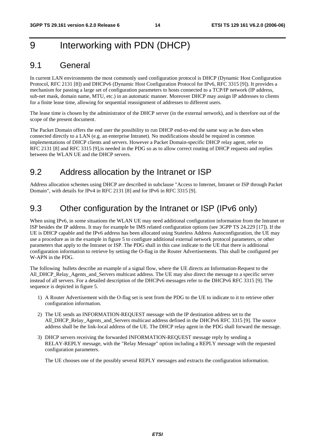### 9 Interworking with PDN (DHCP)

### 9.1 General

In current LAN environments the most commonly used configuration protocol is DHCP (Dynamic Host Configuration Protocol, RFC 2131 [8]) and DHCPv6 (Dynamic Host Configuration Protocol for IPv6, RFC 3315 [9]). It provides a mechanism for passing a large set of configuration parameters to hosts connected to a TCP/IP network (IP address, sub-net mask, domain name, MTU, etc.) in an automatic manner. Moreover DHCP may assign IP addresses to clients for a finite lease time, allowing for sequential reassignment of addresses to different users.

The lease time is chosen by the administrator of the DHCP server (in the external network), and is therefore out of the scope of the present document.

The Packet Domain offers the end user the possibility to run DHCP end-to-end the same way as he does when connected directly to a LAN (e.g. an enterprise Intranet). No modifications should be required in common implementations of DHCP clients and servers. However a Packet Domain-specific DHCP relay agent, refer to RFC 2131 [8] and RFC 3315 [9],is needed in the PDG so as to allow correct routing of DHCP requests and replies between the WLAN UE and the DHCP servers.

### 9.2 Address allocation by the Intranet or ISP

Address allocation schemes using DHCP are described in subclause "Access to Internet, Intranet or ISP through Packet Domain", with details for IPv4 in RFC 2131 [8] and for IPv6 in RFC 3315 [9].

### 9.3 Other configuration by the Intranet or ISP (IPv6 only)

When using IPv6, in some situations the WLAN UE may need additional configuration information from the Intranet or ISP besides the IP address. It may for example be IMS related configuration options (see 3GPP TS 24.229 [17]). If the UE is DHCP capable and the IPv6 address has been allocated using Stateless Address Autoconfiguration, the UE may use a procedure as in the example in figure 5 to configure additional external network protocol parameters, or other parameters that apply to the Intranet or ISP. The PDG shall in this case indicate to the UE that there is additional configuration information to retrieve by setting the O-flag in the Router Advertisements. This shall be configured per W-APN in the PDG.

The following bullets describe an example of a signal flow, where the UE directs an Information-Request to the All\_DHCP\_Relay\_Agents\_and\_Servers multicast address. The UE may also direct the message to a specific server instead of all servers. For a detailed description of the DHCPv6 messages refer to the DHCPv6 RFC 3315 [9]. The sequence is depicted in figure 5.

- 1) A Router Advertisement with the O-flag set is sent from the PDG to the UE to indicate to it to retrieve other configuration information.
- 2) The UE sends an INFORMATION-REQUEST message with the IP destination address set to the All\_DHCP\_Relay\_Agents\_and\_Servers multicast address defined in the DHCPv6 RFC 3315 [9]. The source address shall be the link-local address of the UE. The DHCP relay agent in the PDG shall forward the message.
- 3) DHCP servers receiving the forwarded INFORMATION-REQUEST message reply by sending a RELAY-REPLY message, with the "Relay Message" option including a REPLY message with the requested configuration parameters.

The UE chooses one of the possibly several REPLY messages and extracts the configuration information.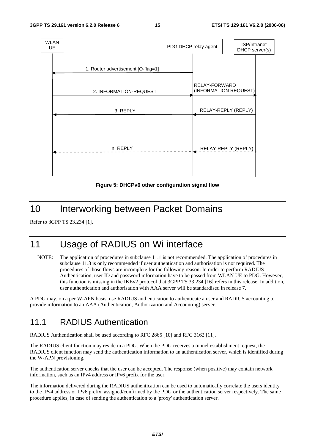

**Figure 5: DHCPv6 other configuration signal flow** 

### 10 Interworking between Packet Domains

Refer to 3GPP TS 23.234 [1].

### 11 Usage of RADIUS on Wi interface

NOTE: The application of procedures in subclause 11.1 is not recommended. The application of procedures in subclause 11.3 is only recommended if user authentication and authorisation is not required. The procedures of those flows are incomplete for the following reason: In order to perform RADIUS Authentication, user ID and password information have to be passed from WLAN UE to PDG. However, this function is missing in the IKEv2 protocol that 3GPP TS 33.234 [16] refers in this release. In addition, user authentication and authorisation with AAA server will be standardised in release 7.

A PDG may, on a per W-APN basis, use RADIUS authentication to authenticate a user and RADIUS accounting to provide information to an AAA (Authentication, Authorization and Accounting) server.

### 11.1 RADIUS Authentication

RADIUS Authentication shall be used according to RFC 2865 [10] and RFC 3162 [11].

The RADIUS client function may reside in a PDG. When the PDG receives a tunnel establishment request, the RADIUS client function may send the authentication information to an authentication server, which is identified during the W-APN provisioning.

The authentication server checks that the user can be accepted. The response (when positive) may contain network information, such as an IPv4 address or IPv6 prefix for the user.

The information delivered during the RADIUS authentication can be used to automatically correlate the users identity to the IPv4 address or IPv6 prefix, assigned/confirmed by the PDG or the authentication server respectively. The same procedure applies, in case of sending the authentication to a 'proxy' authentication server.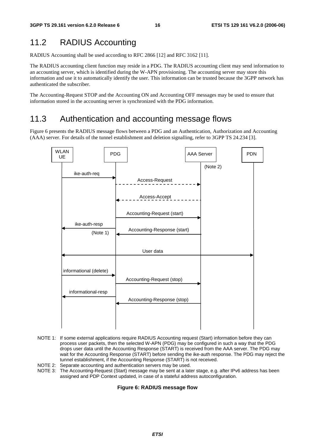### 11.2 RADIUS Accounting

RADIUS Accounting shall be used according to RFC 2866 [12] and RFC 3162 [11].

The RADIUS accounting client function may reside in a PDG. The RADIUS accounting client may send information to an accounting server, which is identified during the W-APN provisioning. The accounting server may store this information and use it to automatically identify the user. This information can be trusted because the 3GPP network has authenticated the subscriber.

The Accounting-Request STOP and the Accounting ON and Accounting OFF messages may be used to ensure that information stored in the accounting server is synchronized with the PDG information.

### 11.3 Authentication and accounting message flows

Figure 6 presents the RADIUS message flows between a PDG and an Authentication, Authorization and Accounting (AAA) server. For details of the tunnel establishment and deletion signalling, refer to 3GPP TS 24.234 [3].



- NOTE 1: If some external applications require RADIUS Accounting request (Start) information before they can process user packets, then the selected W-APN (PDG) may be configured in such a way that the PDG drops user data until the Accounting Response (START) is received from the AAA server. The PDG may wait for the Accounting Response (START) before sending the ike-auth response. The PDG may reject the tunnel establishment, if the Accounting Response (START) is not received.
- NOTE 2: Separate accounting and authentication servers may be used.
- NOTE 3: The Accounting-Request (Start) message may be sent at a later stage, e.g. after IPv6 address has been assigned and PDP Context updated, in case of a stateful address autoconfiguration.

#### **Figure 6: RADIUS message flow**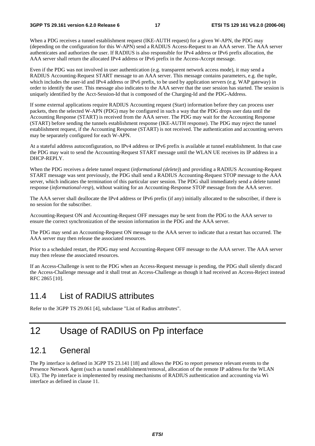When a PDG receives a tunnel establishment request (IKE-AUTH request) for a given W-APN, the PDG may (depending on the configuration for this W-APN) send a RADIUS Access-Request to an AAA server. The AAA server authenticates and authorizes the user. If RADIUS is also responsible for IPv4 address or IPv6 prefix allocation, the AAA server shall return the allocated IPv4 address or IPv6 prefix in the Access-Accept message.

Even if the PDG was not involved in user authentication (e.g. transparent network access mode), it may send a RADIUS Accounting-Request START message to an AAA server. This message contains parameters, e.g. the tuple, which includes the user-id and IPv4 address or IPv6 prefix, to be used by application servers (e.g. WAP gateway) in order to identify the user. This message also indicates to the AAA server that the user session has started. The session is uniquely identified by the Acct-Session-Id that is composed of the Charging-Id and the PDG-Address.

If some external applications require RADIUS Accounting request (Start) information before they can process user packets, then the selected W-APN (PDG) may be configured in such a way that the PDG drops user data until the Accounting Response (START) is received from the AAA server. The PDG may wait for the Accounting Response (START) before sending the tunnels establishment response (IKE-AUTH response). The PDG may reject the tunnel establishment request, if the Accounting Response (START) is not received. The authentication and accounting servers may be separately configured for each W-APN.

At a stateful address autoconfiguration, no IPv4 address or IPv6 prefix is available at tunnel establishment. In that case the PDG may wait to send the Accounting-Request START message until the WLAN UE receives its IP address in a DHCP-REPLY.

When the PDG receives a delete tunnel request (*informational (delete)*) and providing a RADIUS Accounting-Request START message was sent previously, the PDG shall send a RADIUS Accounting-Request STOP message to the AAA server, which indicates the termination of this particular user session. The PDG shall immediately send a delete tunnel response (*informational-resp*), without waiting for an Accounting-Response STOP message from the AAA server.

The AAA server shall deallocate the IPv4 address or IPv6 prefix (if any) initially allocated to the subscriber, if there is no session for the subscriber.

Accounting-Request ON and Accounting-Request OFF messages may be sent from the PDG to the AAA server to ensure the correct synchronization of the session information in the PDG and the AAA server.

The PDG may send an Accounting-Request ON message to the AAA server to indicate that a restart has occurred. The AAA server may then release the associated resources.

Prior to a scheduled restart, the PDG may send Accounting-Request OFF message to the AAA server. The AAA server may then release the associated resources.

If an Access-Challenge is sent to the PDG when an Access-Request message is pending, the PDG shall silently discard the Access-Challenge message and it shall treat an Access-Challenge as though it had received an Access-Reject instead RFC 2865 [10].

### 11.4 List of RADIUS attributes

Refer to the 3GPP TS 29.061 [4], subclause "List of Radius attributes".

### 12 Usage of RADIUS on Pp interface

### 12.1 General

The Pp interface is defined in 3GPP TS 23.141 [18] and allows the PDG to report presence relevant events to the Presence Network Agent (such as tunnel establishment/removal, allocation of the remote IP address for the WLAN UE). The Pp interface is implemented by reusing mechanisms of RADIUS authentication and accounting via Wi interface as defined in clause 11.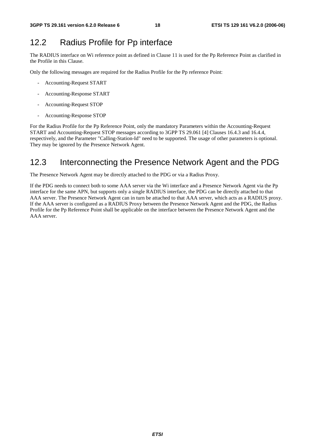### 12.2 Radius Profile for Pp interface

The RADIUS interface on Wi reference point as defined in Clause 11 is used for the Pp Reference Point as clarified in the Profile in this Clause.

Only the following messages are required for the Radius Profile for the Pp reference Point:

- Accounting-Request START
- Accounting-Response START
- Accounting-Request STOP
- Accounting-Response STOP

For the Radius Profile for the Pp Reference Point, only the mandatory Parameters within the Accounting-Request START and Accounting-Request STOP messages according to 3GPP TS 29.061 [4] Clauses 16.4.3 and 16.4.4, respectively, and the Parameter "Calling-Station-Id" need to be supported. The usage of other parameters is optional. They may be ignored by the Presence Network Agent.

### 12.3 Interconnecting the Presence Network Agent and the PDG

The Presence Network Agent may be directly attached to the PDG or via a Radius Proxy.

If the PDG needs to connect both to some AAA server via the Wi interface and a Presence Network Agent via the Pp interface for the same APN, but supports only a single RADIUS interface, the PDG can be directly attached to that AAA server. The Presence Network Agent can in turn be attached to that AAA server, which acts as a RADIUS proxy. If the AAA server is configured as a RADIUS Proxy between the Presence Network Agent and the PDG, the Radius Profile for the Pp Reference Point shall be applicable on the interface between the Presence Network Agent and the AAA server.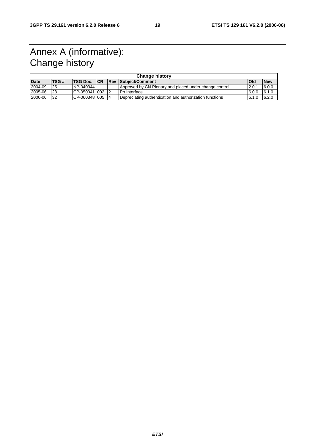### Annex A (informative): Change history

| <b>Change history</b> |             |                |     |                |                                                         |            |            |  |
|-----------------------|-------------|----------------|-----|----------------|---------------------------------------------------------|------------|------------|--|
| <b>Date</b>           | <b>TSG#</b> | TSG Doc.       | ICR |                | <b>Rev Subject/Comment</b>                              | <b>Old</b> | <b>New</b> |  |
| 2004-09               | 25          | NP-040344      |     |                | Approved by CN Plenary and placed under change control  | 2.0.1      | 6.0.0      |  |
| 2005-06               | 28          | CP-0500411002  |     |                | <b>Po Interface</b>                                     | 6.0.0      | 6.1.0      |  |
| 2006-06               | 32          | ICP-0603481005 |     | $\overline{4}$ | Depreciating authentication and authorization functions | 6.1.0      | 6.2.0      |  |